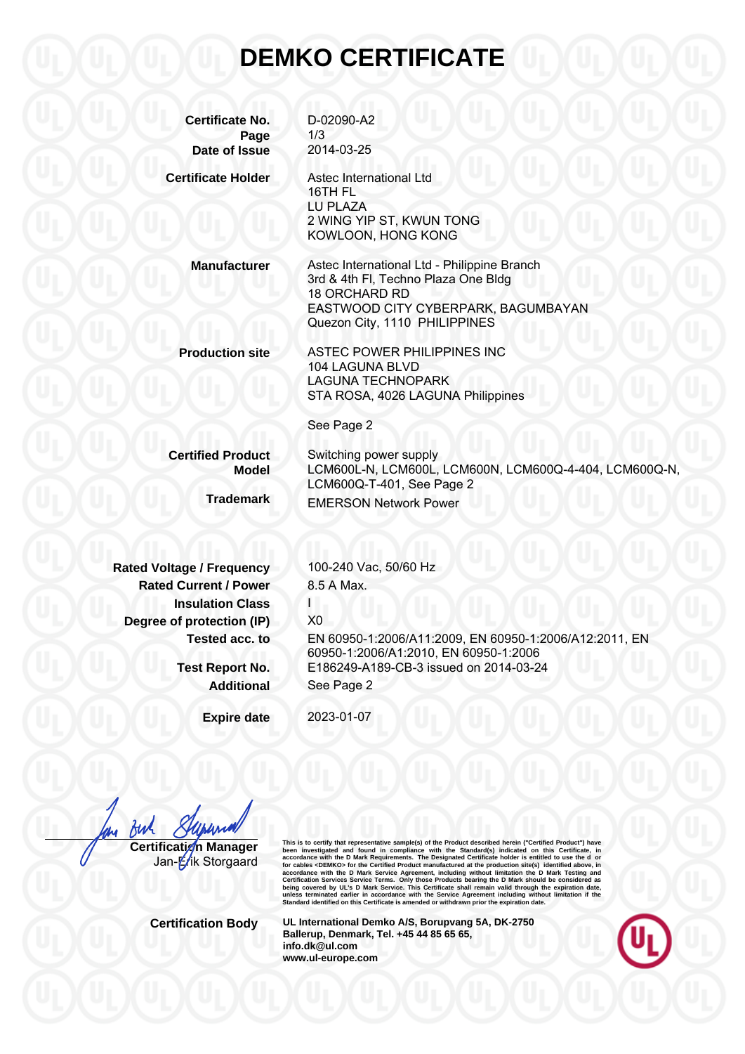## **DEMKO CERTIFICATE**

| <b>Certificate No.</b>           | D-02090-A2                                                                                      |
|----------------------------------|-------------------------------------------------------------------------------------------------|
| Page                             | 1/3                                                                                             |
| Date of Issue                    | 2014-03-25                                                                                      |
| <b>Certificate Holder</b>        | Astec International Ltd<br>16TH FL                                                              |
|                                  | LU PLAZA                                                                                        |
|                                  | 2 WING YIP ST, KWUN TONG<br>KOWLOON, HONG KONG                                                  |
| <b>Manufacturer</b>              | Astec International Ltd - Philippine Branch                                                     |
|                                  | 3rd & 4th FI, Techno Plaza One Bldg<br>18 ORCHARD RD                                            |
|                                  | EASTWOOD CITY CYBERPARK, BAGUMBAYAN                                                             |
|                                  | Quezon City, 1110 PHILIPPINES                                                                   |
| <b>Production site</b>           | ASTEC POWER PHILIPPINES INC                                                                     |
|                                  | 104 LAGUNA BLVD                                                                                 |
|                                  | <b>LAGUNA TECHNOPARK</b>                                                                        |
|                                  | STA ROSA, 4026 LAGUNA Philippines                                                               |
|                                  | See Page 2                                                                                      |
| <b>Certified Product</b>         | Switching power supply                                                                          |
| <b>Model</b>                     | LCM600L-N, LCM600L, LCM600N, LCM600Q-4-404, LCM600Q-N,                                          |
|                                  | LCM600Q-T-401, See Page 2                                                                       |
| <b>Trademark</b>                 | <b>EMERSON Network Power</b>                                                                    |
|                                  |                                                                                                 |
| <b>Rated Voltage / Frequency</b> | 100-240 Vac, 50/60 Hz                                                                           |
| <b>Rated Current / Power</b>     | 8.5 A Max.                                                                                      |
| <b>Insulation Class</b>          | L                                                                                               |
|                                  | X <sub>0</sub>                                                                                  |
| Degree of protection (IP)        |                                                                                                 |
| Tested acc. to                   | EN 60950-1:2006/A11:2009, EN 60950-1:2006/A12:2011, EN<br>60950-1:2006/A1:2010, EN 60950-1:2006 |
| <b>Test Report No.</b>           | E186249-A189-CB-3 issued on 2014-03-24                                                          |
|                                  |                                                                                                 |
| <b>Additional</b>                | See Page 2                                                                                      |
| <b>Expire date</b>               | 2023-01-07                                                                                      |

fuh **Certification Manager** 

Jan-Erik Storgaard

This is to certify that representative sample(s) of the Product described herein ("Certifical Product") have<br>been investigated and found in compliance with the Standard(s) indicated on this Certificate, in<br>accordance with

**Certification Body UL International Demko A/S, Borupvang 5A, DK-2750 Ballerup, Denmark, Tel. +45 44 85 65 65, info.dk@ul.com www.ul-europe.com**

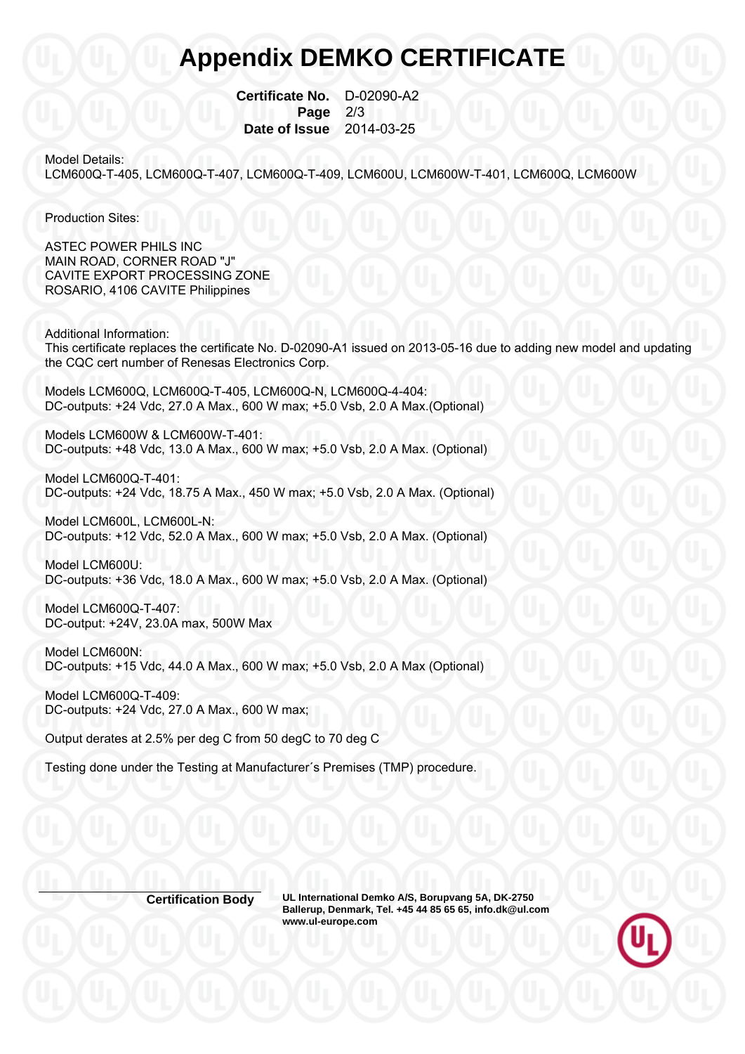## **Appendix DEMKO CERTIFICATE**

 **Certificate No.** D-02090-A2 **Page 2/3 Date of Issue** 2014-03-25

Model Details:

LCM600Q-T-405, LCM600Q-T-407, LCM600Q-T-409, LCM600U, LCM600W-T-401, LCM600Q, LCM600W

Production Sites:

ASTEC POWER PHILS INC MAIN ROAD, CORNER ROAD "J" CAVITE EXPORT PROCESSING ZONE ROSARIO, 4106 CAVITE Philippines

Additional Information: This certificate replaces the certificate No. D-02090-A1 issued on 2013-05-16 due to adding new model and updating the CQC cert number of Renesas Electronics Corp.

Models LCM600Q, LCM600Q-T-405, LCM600Q-N, LCM600Q-4-404: DC-outputs: +24 Vdc, 27.0 A Max., 600 W max; +5.0 Vsb, 2.0 A Max.(Optional)

Models LCM600W & LCM600W-T-401: DC-outputs: +48 Vdc, 13.0 A Max., 600 W max; +5.0 Vsb, 2.0 A Max. (Optional)

Model LCM600Q-T-401: DC-outputs: +24 Vdc, 18.75 A Max., 450 W max; +5.0 Vsb, 2.0 A Max. (Optional)

Model LCM600L, LCM600L-N: DC-outputs: +12 Vdc, 52.0 A Max., 600 W max; +5.0 Vsb, 2.0 A Max. (Optional)

Model LCM600U: DC-outputs: +36 Vdc, 18.0 A Max., 600 W max; +5.0 Vsb, 2.0 A Max. (Optional)

Model LCM600Q-T-407: DC-output: +24V, 23.0A max, 500W Max

Model LCM600N: DC-outputs: +15 Vdc, 44.0 A Max., 600 W max; +5.0 Vsb, 2.0 A Max (Optional)

Model LCM600Q-T-409: DC-outputs: +24 Vdc, 27.0 A Max., 600 W max;

Output derates at 2.5% per deg C from 50 degC to 70 deg C

Testing done under the Testing at Manufacturer´s Premises (TMP) procedure.

**Certification Body UL International Demko A/S, Borupvang 5A, DK-2750 Ballerup, Denmark, Tel. +45 44 85 65 65, info.dk@ul.com www.ul-europe.com**